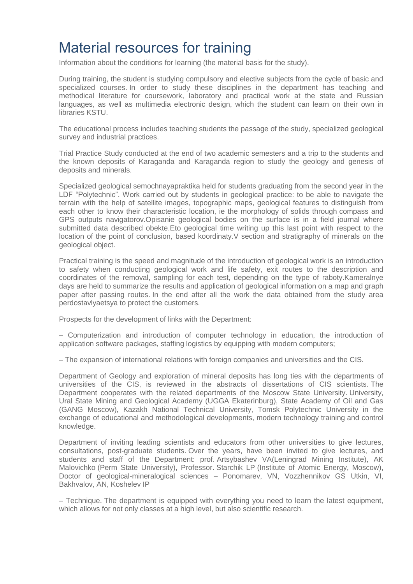## Material resources for training

Information about the conditions for learning (the material basis for the study).

During training, the student is studying compulsory and elective subjects from the cycle of basic and specialized courses. In order to study these disciplines in the department has teaching and methodical literature for coursework, laboratory and practical work at the state and Russian languages, as well as multimedia electronic design, which the student can learn on their own in libraries KSTU.

The educational process includes teaching students the passage of the study, specialized geological survey and industrial practices.

Trial Practice Study conducted at the end of two academic semesters and a trip to the students and the known deposits of Karaganda and Karaganda region to study the geology and genesis of deposits and minerals.

Specialized geological semochnayapraktika held for students graduating from the second year in the LDF "Polytechnic". Work carried out by students in geological practice: to be able to navigate the terrain with the help of satellite images, topographic maps, geological features to distinguish from each other to know their characteristic location, ie the morphology of solids through compass and GPS outputs navigatorov.Opisanie geological bodies on the surface is in a field journal where submitted data described obekte.Eto geological time writing up this last point with respect to the location of the point of conclusion, based koordinaty.V section and stratigraphy of minerals on the geological object.

Practical training is the speed and magnitude of the introduction of geological work is an introduction to safety when conducting geological work and life safety, exit routes to the description and coordinates of the removal, sampling for each test, depending on the type of raboty.Kameralnye days are held to summarize the results and application of geological information on a map and graph paper after passing routes. In the end after all the work the data obtained from the study area perdostavlyaetsya to protect the customers.

Prospects for the development of links with the Department:

– Computerization and introduction of computer technology in education, the introduction of application software packages, staffing logistics by equipping with modern computers;

– The expansion of international relations with foreign companies and universities and the CIS.

Department of Geology and exploration of mineral deposits has long ties with the departments of universities of the CIS, is reviewed in the abstracts of dissertations of CIS scientists. The Department cooperates with the related departments of the Moscow State University. University, Ural State Mining and Geological Academy (UGGA Ekaterinburg), State Academy of Oil and Gas (GANG Moscow), Kazakh National Technical University, Tomsk Polytechnic University in the exchange of educational and methodological developments, modern technology training and control knowledge.

Department of inviting leading scientists and educators from other universities to give lectures, consultations, post-graduate students. Over the years, have been invited to give lectures, and students and staff of the Department: prof. Artsybashev VA(Leningrad Mining Institute), AK Malovichko (Perm State University), Professor. Starchik LP (Institute of Atomic Energy, Moscow), Doctor of geological-mineralogical sciences – Ponomarev, VN, Vozzhennikov GS Utkin, VI, Bakhvalov, AN, Koshelev IP

– Technique. The department is equipped with everything you need to learn the latest equipment, which allows for not only classes at a high level, but also scientific research.